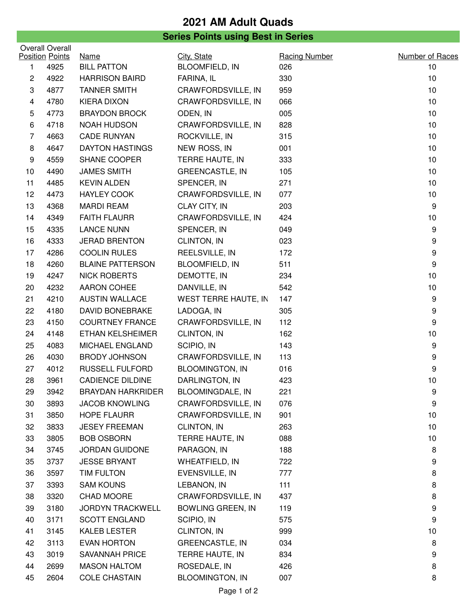## **2021 AM Adult Quads**

## **Series Points using Best in Series**

| <b>Overall Overall</b> |                                        |                                                     |                                                    | Number of Races                    |
|------------------------|----------------------------------------|-----------------------------------------------------|----------------------------------------------------|------------------------------------|
|                        |                                        |                                                     |                                                    | 10                                 |
|                        |                                        |                                                     |                                                    | 10                                 |
| 4877                   | <b>TANNER SMITH</b>                    | CRAWFORDSVILLE, IN                                  | 959                                                | 10                                 |
| 4780                   | <b>KIERA DIXON</b>                     | CRAWFORDSVILLE, IN                                  | 066                                                | 10                                 |
| 4773                   | <b>BRAYDON BROCK</b>                   | ODEN, IN                                            | 005                                                | 10                                 |
| 4718                   | <b>NOAH HUDSON</b>                     | CRAWFORDSVILLE, IN                                  | 828                                                | 10                                 |
| 4663                   | <b>CADE RUNYAN</b>                     | ROCKVILLE, IN                                       | 315                                                | 10                                 |
| 4647                   | <b>DAYTON HASTINGS</b>                 | NEW ROSS, IN                                        | 001                                                | 10                                 |
| 4559                   | SHANE COOPER                           | TERRE HAUTE, IN                                     | 333                                                | 10                                 |
| 4490                   | <b>JAMES SMITH</b>                     | <b>GREENCASTLE, IN</b>                              | 105                                                | 10                                 |
| 4485                   | <b>KEVIN ALDEN</b>                     | SPENCER, IN                                         | 271                                                | 10                                 |
| 4473                   | <b>HAYLEY COOK</b>                     | CRAWFORDSVILLE, IN                                  | 077                                                | 10                                 |
| 4368                   | <b>MARDI REAM</b>                      | CLAY CITY, IN                                       | 203                                                | 9                                  |
| 4349                   | <b>FAITH FLAURR</b>                    | CRAWFORDSVILLE, IN                                  | 424                                                | 10                                 |
| 4335                   | <b>LANCE NUNN</b>                      | SPENCER, IN                                         | 049                                                | 9                                  |
| 4333                   | <b>JERAD BRENTON</b>                   | CLINTON, IN                                         | 023                                                | 9                                  |
| 4286                   | <b>COOLIN RULES</b>                    | REELSVILLE, IN                                      | 172                                                | 9                                  |
| 4260                   | <b>BLAINE PATTERSON</b>                | <b>BLOOMFIELD, IN</b>                               | 511                                                | 9                                  |
| 4247                   | <b>NICK ROBERTS</b>                    | DEMOTTE, IN                                         | 234                                                | 10                                 |
| 4232                   | <b>AARON COHEE</b>                     | DANVILLE, IN                                        | 542                                                | 10                                 |
| 4210                   | <b>AUSTIN WALLACE</b>                  | WEST TERRE HAUTE, IN                                | 147                                                | 9                                  |
| 4180                   | <b>DAVID BONEBRAKE</b>                 | LADOGA, IN                                          | 305                                                | $\boldsymbol{9}$                   |
| 4150                   | <b>COURTNEY FRANCE</b>                 | CRAWFORDSVILLE, IN                                  | 112                                                | 9                                  |
| 4148                   | ETHAN KELSHEIMER                       | CLINTON, IN                                         | 162                                                | 10                                 |
| 4083                   | MICHAEL ENGLAND                        | SCIPIO, IN                                          | 143                                                | 9                                  |
| 4030                   | <b>BRODY JOHNSON</b>                   | CRAWFORDSVILLE, IN                                  | 113                                                | $\boldsymbol{9}$                   |
| 4012                   | <b>RUSSELL FULFORD</b>                 | <b>BLOOMINGTON, IN</b>                              | 016                                                | 9                                  |
| 3961                   | <b>CADIENCE DILDINE</b>                | DARLINGTON, IN                                      | 423                                                | 10                                 |
| 3942                   | <b>BRAYDAN HARKRIDER</b>               | <b>BLOOMINGDALE, IN</b>                             | 221                                                | 9                                  |
| 3893                   | <b>JACOB KNOWLING</b>                  | CRAWFORDSVILLE, IN                                  | 076                                                | 9                                  |
| 3850                   | <b>HOPE FLAURR</b>                     | CRAWFORDSVILLE, IN                                  | 901                                                | 10                                 |
| 3833                   | <b>JESEY FREEMAN</b>                   | CLINTON, IN                                         | 263                                                | 10                                 |
| 3805                   | <b>BOB OSBORN</b>                      | TERRE HAUTE, IN                                     | 088                                                | 10                                 |
| 3745                   | <b>JORDAN GUIDONE</b>                  | PARAGON, IN                                         | 188                                                | 8                                  |
| 3737                   | <b>JESSE BRYANT</b>                    | WHEATFIELD, IN                                      | 722                                                | 9                                  |
| 3597                   | <b>TIM FULTON</b>                      | EVENSVILLE, IN                                      | 777                                                | 8                                  |
| 3393                   | <b>SAM KOUNS</b>                       | LEBANON, IN                                         | 111                                                | 8                                  |
| 3320                   | CHAD MOORE                             | CRAWFORDSVILLE, IN                                  | 437                                                | 8                                  |
| 3180                   | <b>JORDYN TRACKWELL</b>                | <b>BOWLING GREEN, IN</b>                            | 119                                                | 9                                  |
| 3171                   | <b>SCOTT ENGLAND</b>                   | SCIPIO, IN                                          | 575                                                | 9                                  |
| 3145                   | KALEB LESTER                           | CLINTON, IN                                         | 999                                                | 10                                 |
| 3113                   | <b>EVAN HORTON</b>                     | <b>GREENCASTLE, IN</b>                              | 034                                                | 8                                  |
| 3019                   | <b>SAVANNAH PRICE</b>                  | TERRE HAUTE, IN                                     | 834                                                | 9                                  |
| 2699                   | <b>MASON HALTOM</b>                    | ROSEDALE, IN                                        | 426                                                | 8                                  |
| 2604                   | <b>COLE CHASTAIN</b>                   | <b>BLOOMINGTON, IN</b>                              | 007                                                | 8                                  |
|                        | <b>Position Points</b><br>4925<br>4922 | Name<br><b>BILL PATTON</b><br><b>HARRISON BAIRD</b> | City, State<br><b>BLOOMFIELD, IN</b><br>FARINA, IL | <b>Racing Number</b><br>026<br>330 |